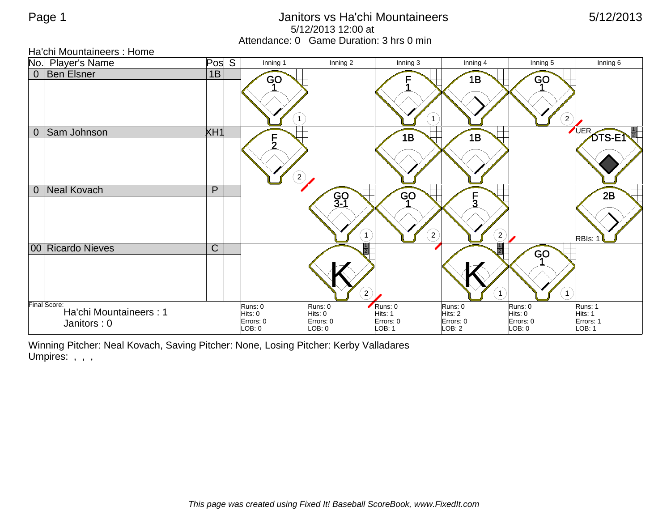## Page 1 **Discrete 1 Contract Contract Contract Contract Contract Contract Contract Contract Contract Contract Contract Contract Contract Contract Contract Contract Contract Contract Contract Contract Contract Contract Contr** 5/12/2013 12:00 at Attendance: 0 Game Duration: 3 hrs 0 min

Ha'chi Mountaineers : Home

|                | No. Player's Name                                     | Pos            | $\overline{S}$ | Inning 1                                  | Inning 2                                    | Inning 3                                  | Inning 4                                  | Inning 5                                 | Inning 6                                  |
|----------------|-------------------------------------------------------|----------------|----------------|-------------------------------------------|---------------------------------------------|-------------------------------------------|-------------------------------------------|------------------------------------------|-------------------------------------------|
|                | 0   Ben Elsner                                        | 1B             |                | GO<br>$\mathbf{1}$                        |                                             | $\mathbf{1}$                              | 1B                                        | GO<br>$\left( 2\right)$                  |                                           |
| $\overline{0}$ | Sam Johnson                                           | XH1            |                | $\frac{5}{2}$<br>$\left( 2\right)$        |                                             | 1B                                        | 1B                                        |                                          | UER <sub>-</sub><br>DTS-EN                |
| $\overline{0}$ | Neal Kovach                                           | P              |                |                                           | GO<br>3-1<br>$\overline{1}$                 | <b>GO</b><br>$\left( 2\right)$            | F<br>ົ<br>-5<br>$\bf(2)$                  |                                          | 2B<br>RBIs:                               |
|                | 00 Ricardo Nieves                                     | $\overline{C}$ |                |                                           | $\mathbf{2}^{\prime}$                       |                                           | $\mathbf{1}$                              | <b>GO</b><br>$\mathbf{1}$                |                                           |
|                | Final Score:<br>Ha'chi Mountaineers: 1<br>Janitors: 0 |                |                | Runs: 0<br>Hits: 0<br>Errors: 0<br>LOB: 0 | Runs: 0<br>Hits: 0<br>Errors: 0<br>$-OB: 0$ | Runs: 0<br>Hits: 1<br>Errors: 0<br>LOB: 1 | Runs: 0<br>Hits: 2<br>Errors: 0<br>LOB: 2 | Runs: 0<br>Hits: 0<br>Errors: 0<br>DB: 0 | Runs: 1<br>Hits: 1<br>Errors: 1<br>LOB: 1 |

Winning Pitcher: Neal Kovach, Saving Pitcher: None, Losing Pitcher: Kerby Valladares Umpires: , , ,